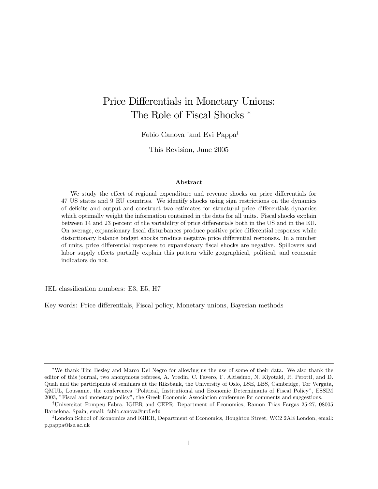# Price Differentials in Monetary Unions: The Role of Fiscal Shocks<sup>\*</sup>

Fabio Canova † and Evi Pappa‡

This Revision, June 2005

### Abstract

We study the effect of regional expenditure and revenue shocks on price differentials for 47 US states and 9 EU countries. We identify shocks using sign restrictions on the dynamics of deficits and output and construct two estimates for structural price differentials dynamics which optimally weight the information contained in the data for all units. Fiscal shocks explain between 14 and 23 percent of the variability of price differentials both in the US and in the EU. On average, expansionary fiscal disturbances produce positive price differential responses while distortionary balance budget shocks produce negative price differential responses. In a number of units, price differential responses to expansionary fiscal shocks are negative. Spillovers and labor supply effects partially explain this pattern while geographical, political, and economic indicators do not.

JEL classification numbers: E3, E5, H7

Key words: Price differentials, Fiscal policy, Monetary unions, Bayesian methods

<sup>∗</sup>We thank Tim Besley and Marco Del Negro for allowing us the use of some of their data. We also thank the editor of this journal, two anonymous referees, A. Vredin, C. Favero, F. Altissimo, N. Kiyotaki, R. Perotti, and D. Quah and the participants of seminars at the Riksbank, the University of Oslo, LSE, LBS, Cambridge, Tor Vergata, QMUL, Lousanne, the conferences "Political, Institutional and Economic Determinants of Fiscal Policy", ESSIM 2003, "Fiscal and monetary policy", the Greek Economic Association conference for comments and suggestions.

<sup>†</sup>Universitat Pompeu Fabra, IGIER and CEPR, Department of Economics, Ramon Trias Fargas 25-27, 08005 Barcelona, Spain, email: fabio.canova@upf.edu

<sup>‡</sup>London School of Economics and IGIER, Department of Economics, Houghton Street, WC2 2AE London, email: p.pappa@lse.ac.uk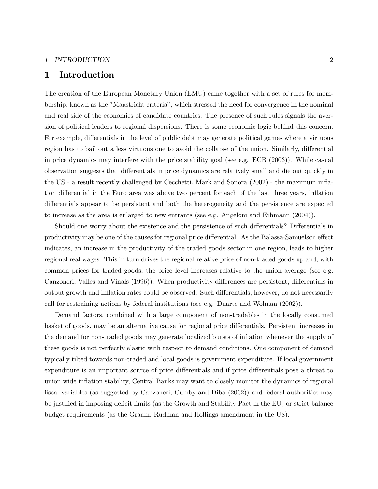### 1 INTRODUCTION 2

# 1 Introduction

The creation of the European Monetary Union (EMU) came together with a set of rules for membership, known as the "Maastricht criteria", which stressed the need for convergence in the nominal and real side of the economies of candidate countries. The presence of such rules signals the aversion of political leaders to regional dispersions. There is some economic logic behind this concern. For example, differentials in the level of public debt may generate political games where a virtuous region has to bail out a less virtuous one to avoid the collapse of the union. Similarly, differential in price dynamics may interfere with the price stability goal (see e.g. ECB (2003)). While casual observation suggests that differentials in price dynamics are relatively small and die out quickly in the US - a result recently challenged by Cecchetti, Mark and Sonora (2002) - the maximum inflation differential in the Euro area was above two percent for each of the last three years, inflation differentials appear to be persistent and both the heterogeneity and the persistence are expected to increase as the area is enlarged to new entrants (see e.g. Angeloni and Erhmann (2004)).

Should one worry about the existence and the persistence of such differentials? Differentials in productivity may be one of the causes for regional price differential. As the Balassa-Samuelson effect indicates, an increase in the productivity of the traded goods sector in one region, leads to higher regional real wages. This in turn drives the regional relative price of non-traded goods up and, with common prices for traded goods, the price level increases relative to the union average (see e.g. Canzoneri, Valles and Vinals (1996)). When productivity differences are persistent, differentials in output growth and inflation rates could be observed. Such differentials, however, do not necessarily call for restraining actions by federal institutions (see e.g. Duarte and Wolman (2002)).

Demand factors, combined with a large component of non-tradables in the locally consumed basket of goods, may be an alternative cause for regional price differentials. Persistent increases in the demand for non-traded goods may generate localized bursts of inflation whenever the supply of these goods is not perfectly elastic with respect to demand conditions. One component of demand typically tilted towards non-traded and local goods is government expenditure. If local government expenditure is an important source of price differentials and if price differentials pose a threat to union wide inflation stability, Central Banks may want to closely monitor the dynamics of regional fiscal variables (as suggested by Canzoneri, Cumby and Diba (2002)) and federal authorities may be justified in imposing deficit limits (as the Growth and Stability Pact in the EU) or strict balance budget requirements (as the Graam, Rudman and Hollings amendment in the US).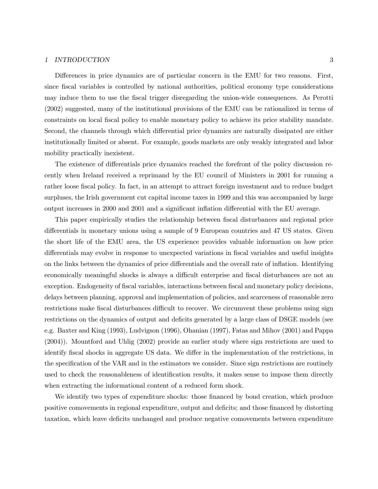### 1 INTRODUCTION 3

Differences in price dynamics are of particular concern in the EMU for two reasons. First, since fiscal variables is controlled by national authorities, political economy type considerations may induce them to use the fiscal trigger disregarding the union-wide consequences. As Perotti (2002) suggested, many of the institutional provisions of the EMU can be rationalized in terms of constraints on local fiscal policy to enable monetary policy to achieve its price stability mandate. Second, the channels through which differential price dynamics are naturally dissipated are either institutionally limited or absent. For example, goods markets are only weakly integrated and labor mobility practically inexistent.

The existence of differentials price dynamics reached the forefront of the policy discussion recently when Ireland received a reprimand by the EU council of Ministers in 2001 for running a rather loose fiscal policy. In fact, in an attempt to attract foreign investment and to reduce budget surpluses, the Irish government cut capital income taxes in 1999 and this was accompanied by large output increases in 2000 and 2001 and a significant inflation differential with the EU average.

This paper empirically studies the relationship between fiscal disturbances and regional price differentials in monetary unions using a sample of 9 European countries and 47 US states. Given the short life of the EMU area, the US experience provides valuable information on how price differentials may evolve in response to unexpected variations in fiscal variables and useful insights on the links between the dynamics of price differentials and the overall rate of inflation. Identifying economically meaningful shocks is always a difficult enterprise and fiscal disturbances are not an exception. Endogeneity of fiscal variables, interactions between fiscal and monetary policy decisions, delays between planning, approval and implementation of policies, and scarceness of reasonable zero restrictions make fiscal disturbances difficult to recover. We circumvent these problems using sign restrictions on the dynamics of output and deficits generated by a large class of DSGE models (see e.g. Baxter and King (1993), Ludvigson (1996), Ohanian (1997), Fatas and Mihov (2001) and Pappa (2004)). Mountford and Uhlig (2002) provide an earlier study where sign restrictions are used to identify fiscal shocks in aggregate US data. We differ in the implementation of the restrictions, in the specification of the VAR and in the estimators we consider. Since sign restrictions are routinely used to check the reasonableness of identification results, it makes sense to impose them directly when extracting the informational content of a reduced form shock.

We identify two types of expenditure shocks: those financed by bond creation, which produce positive comovements in regional expenditure, output and deficits; and those financed by distorting taxation, which leave deficits unchanged and produce negative comovements between expenditure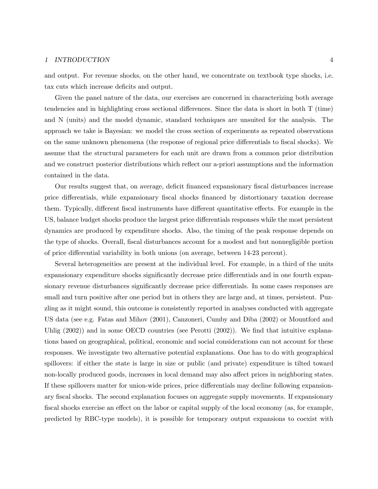### 1 INTRODUCTION 4

and output. For revenue shocks, on the other hand, we concentrate on textbook type shocks, i.e. tax cuts which increase deficits and output.

Given the panel nature of the data, our exercises are concerned in characterizing both average tendencies and in highlighting cross sectional differences. Since the data is short in both T (time) and N (units) and the model dynamic, standard techniques are unsuited for the analysis. The approach we take is Bayesian: we model the cross section of experiments as repeated observations on the same unknown phenomena (the response of regional price differentials to fiscal shocks). We assume that the structural parameters for each unit are drawn from a common prior distribution and we construct posterior distributions which reflect our a-priori assumptions and the information contained in the data.

Our results suggest that, on average, deficit financed expansionary fiscal disturbances increase price differentials, while expansionary fiscal shocks financed by distortionary taxation decrease them. Typically, different fiscal instruments have different quantitative effects. For example in the US, balance budget shocks produce the largest price differentials responses while the most persistent dynamics are produced by expenditure shocks. Also, the timing of the peak response depends on the type of shocks. Overall, fiscal disturbances account for a modest and but nonnegligible portion of price differential variability in both unions (on average, between 14-23 percent).

Several heterogeneities are present at the individual level. For example, in a third of the units expansionary expenditure shocks significantly decrease price differentials and in one fourth expansionary revenue disturbances significantly decrease price differentials. In some cases responses are small and turn positive after one period but in others they are large and, at times, persistent. Puzzling as it might sound, this outcome is consistently reported in analyses conducted with aggregate US data (see e.g. Fatas and Mihov (2001), Canzoneri, Cumby and Diba (2002) or Mountford and Uhlig (2002)) and in some OECD countries (see Perotti (2002)). We find that intuitive explanations based on geographical, political, economic and social considerations can not account for these responses. We investigate two alternative potential explanations. One has to do with geographical spillovers: if either the state is large in size or public (and private) expenditure is tilted toward non-locally produced goods, increases in local demand may also affect prices in neighboring states. If these spillovers matter for union-wide prices, price differentials may decline following expansionary fiscal shocks. The second explanation focuses on aggregate supply movements. If expansionary fiscal shocks exercise an effect on the labor or capital supply of the local economy (as, for example, predicted by RBC-type models), it is possible for temporary output expansions to coexist with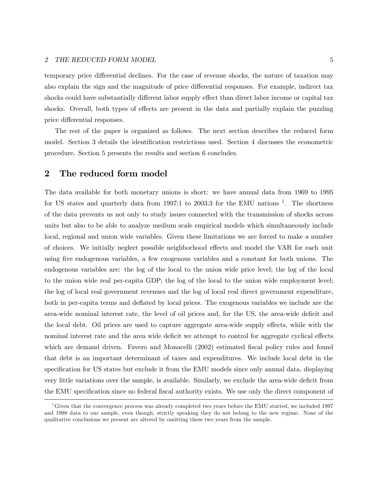### 2 THE REDUCED FORM MODEL 5

temporary price differential declines. For the case of revenue shocks, the nature of taxation may also explain the sign and the magnitude of price differential responses. For example, indirect tax shocks could have substantially different labor supply effect than direct labor income or capital tax shocks. Overall, both types of effects are present in the data and partially explain the puzzling price differential responses.

The rest of the paper is organized as follows. The next section describes the reduced form model. Section 3 details the identification restrictions used. Section 4 discusses the econometric procedure. Section 5 presents the results and section 6 concludes.

# 2 The reduced form model

The data available for both monetary unions is short: we have annual data from 1969 to 1995 for US states and quarterly data from 1997:1 to 2003:3 for the EMU nations  $1$ . The shortness of the data prevents us not only to study issues connected with the transmission of shocks across units but also to be able to analyze medium scale empirical models which simultaneously include local, regional and union wide variables. Given these limitations we are forced to make a number of choices. We initially neglect possible neighborhood effects and model the VAR for each unit using five endogenous variables, a few exogenous variables and a constant for both unions. The endogenous variables are: the log of the local to the union wide price level; the log of the local to the union wide real per-capita GDP; the log of the local to the union wide employment level; the log of local real government revenues and the log of local real direct government expenditure, both in per-capita terms and deflated by local prices. The exogenous variables we include are the area-wide nominal interest rate, the level of oil prices and, for the US, the area-wide deficit and the local debt. Oil prices are used to capture aggregate area-wide supply effects, while with the nominal interest rate and the area wide deficit we attempt to control for aggregate cyclical effects which are demand driven. Favero and Monacelli (2002) estimated fiscal policy rules and found that debt is an important determinant of taxes and expenditures. We include local debt in the specification for US states but exclude it from the EMU models since only annual data, displaying very little variations over the sample, is available. Similarly, we exclude the area-wide deficit from the EMU specification since no federal fiscal authority exists. We use only the direct component of

<sup>&</sup>lt;sup>1</sup>Given that the convergence process was already completed two years before the EMU started, we included 1997 and 1998 data to our sample, even though, strictly speaking they do not belong to the new regime. None of the qualitative conclusions we present are altered by omitting these two years from the sample.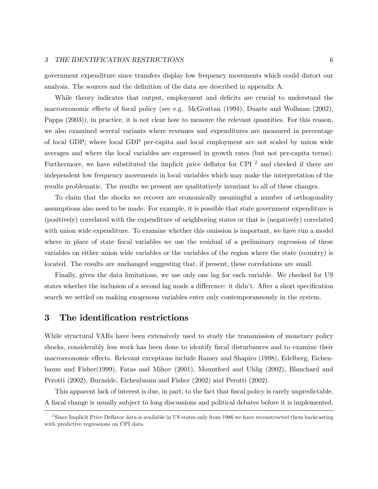government expenditure since transfers display low frequency movements which could distort our analysis. The sources and the definition of the data are described in appendix A.

While theory indicates that output, employment and deficits are crucial to understand the macroeconomic effects of fiscal policy (see e.g. McGrattan (1994), Duarte and Wollman (2002), Pappa (2003)), in practice, it is not clear how to measure the relevant quantities. For this reason, we also examined several variants where revenues and expenditures are measured in percentage of local GDP; where local GDP per-capita and local employment are not scaled by union wide averages and where the local variables are expressed in growth rates (but not per-capita terms). Furthermore, we have substituted the implicit price deflator for CPI  $^2$  and checked if there are independent low frequency movements in local variables which may make the interpretation of the results problematic. The results we present are qualitatively invariant to all of these changes.

To claim that the shocks we recover are economically meaningful a number of orthogonality assumptions also need to be made. For example, it is possible that state government expenditure is (positively) correlated with the expenditure of neighboring states or that is (negatively) correlated with union wide expenditure. To examine whether this omission is important, we have run a model where in place of state fiscal variables we use the residual of a preliminary regression of these variables on either union wide variables or the variables of the region where the state (country) is located. The results are unchanged suggesting that, if present, these correlations are small.

Finally, given the data limitations, we use only one lag for each variable. We checked for US states whether the inclusion of a second lag made a difference: it didn't. After a short specification search we settled on making exogenous variables enter only contemporaneously in the system.

### 3 The identification restrictions

While structural VARs have been extensively used to study the transmission of monetary policy shocks, considerably less work has been done to identify fiscal disturbances and to examine their macroeconomic effects. Relevant exceptions include Ramey and Shapiro (1998), Edelberg, Eichenbaum and Fisher(1999), Fatas and Mihov (2001), Mountford and Uhlig (2002), Blanchard and Perotti (2002), Burnside, Eichenbaum and Fisher (2002) and Perotti (2002).

This apparent lack of interest is due, in part, to the fact that fiscal policy is rarely unpredictable. A fiscal change is usually subject to long discussions and political debates before it is implemented.

<sup>2</sup>Since Implicit Price Deflator data is available in US states only from 1986 we have reconstructed them backcasting with predictive regressions on CPI data.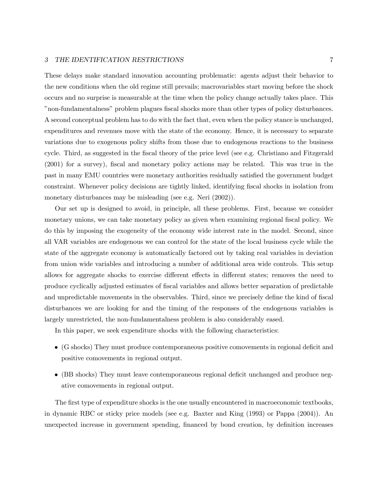These delays make standard innovation accounting problematic: agents adjust their behavior to the new conditions when the old regime still prevails; macrovariables start moving before the shock occurs and no surprise is measurable at the time when the policy change actually takes place. This "non-fundamentalness" problem plagues fiscal shocks more than other types of policy disturbances. A second conceptual problem has to do with the fact that, even when the policy stance is unchanged, expenditures and revenues move with the state of the economy. Hence, it is necessary to separate variations due to exogenous policy shifts from those due to endogenous reactions to the business cycle. Third, as suggested in the fiscal theory of the price level (see e.g. Christiano and Fitzgerald (2001) for a survey), fiscal and monetary policy actions may be related. This was true in the past in many EMU countries were monetary authorities residually satisfied the government budget constraint. Whenever policy decisions are tightly linked, identifying fiscal shocks in isolation from monetary disturbances may be misleading (see e.g. Neri  $(2002)$ ).

Our set up is designed to avoid, in principle, all these problems. First, because we consider monetary unions, we can take monetary policy as given when examining regional fiscal policy. We do this by imposing the exogeneity of the economy wide interest rate in the model. Second, since all VAR variables are endogenous we can control for the state of the local business cycle while the state of the aggregate economy is automatically factored out by taking real variables in deviation from union wide variables and introducing a number of additional area wide controls. This setup allows for aggregate shocks to exercise different effects in different states; removes the need to produce cyclically adjusted estimates of fiscal variables and allows better separation of predictable and unpredictable movements in the observables. Third, since we precisely define the kind of fiscal disturbances we are looking for and the timing of the responses of the endogenous variables is largely unrestricted, the non-fundamentalness problem is also considerably eased.

In this paper, we seek expenditure shocks with the following characteristics:

- (G shocks) They must produce contemporaneous positive comovements in regional deficit and positive comovements in regional output.
- (BB shocks) They must leave contemporaneous regional deficit unchanged and produce negative comovements in regional output.

The first type of expenditure shocks is the one usually encountered in macroeconomic textbooks, in dynamic RBC or sticky price models (see e.g. Baxter and King (1993) or Pappa (2004)). An unexpected increase in government spending, financed by bond creation, by definition increases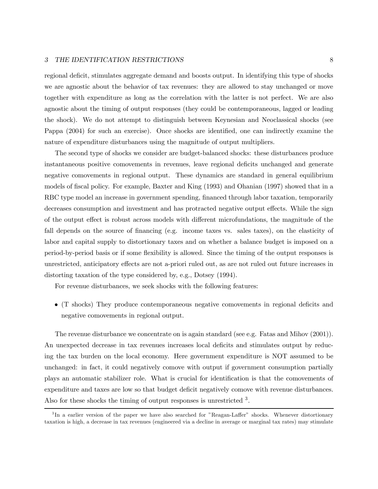regional deficit, stimulates aggregate demand and boosts output. In identifying this type of shocks we are agnostic about the behavior of tax revenues: they are allowed to stay unchanged or move together with expenditure as long as the correlation with the latter is not perfect. We are also agnostic about the timing of output responses (they could be contemporaneous, lagged or leading the shock). We do not attempt to distinguish between Keynesian and Neoclassical shocks (see Pappa (2004) for such an exercise). Once shocks are identified, one can indirectly examine the nature of expenditure disturbances using the magnitude of output multipliers.

The second type of shocks we consider are budget-balanced shocks: these disturbances produce instantaneous positive comovements in revenues, leave regional deficits unchanged and generate negative comovements in regional output. These dynamics are standard in general equilibrium models of fiscal policy. For example, Baxter and King (1993) and Ohanian (1997) showed that in a RBC type model an increase in government spending, financed through labor taxation, temporarily decreases consumption and investment and has protracted negative output effects. While the sign of the output effect is robust across models with different microfundations, the magnitude of the fall depends on the source of financing (e.g. income taxes vs. sales taxes), on the elasticity of labor and capital supply to distortionary taxes and on whether a balance budget is imposed on a period-by-period basis or if some flexibility is allowed. Since the timing of the output responses is unrestricted, anticipatory effects are not a-priori ruled out, as are not ruled out future increases in distorting taxation of the type considered by, e.g., Dotsey (1994).

For revenue disturbances, we seek shocks with the following features:

• (T shocks) They produce contemporaneous negative comovements in regional deficits and negative comovements in regional output.

The revenue disturbance we concentrate on is again standard (see e.g. Fatas and Mihov (2001)). An unexpected decrease in tax revenues increases local deficits and stimulates output by reducing the tax burden on the local economy. Here government expenditure is NOT assumed to be unchanged: in fact, it could negatively comove with output if government consumption partially plays an automatic stabilizer role. What is crucial for identification is that the comovements of expenditure and taxes are low so that budget deficit negatively comove with revenue disturbances. Also for these shocks the timing of output responses is unrestricted 3.

<sup>&</sup>lt;sup>3</sup>In a earlier version of the paper we have also searched for "Reagan-Laffer" shocks. Whenever distortionary taxation is high, a decrease in tax revenues (engineered via a decline in average or marginal tax rates) may stimulate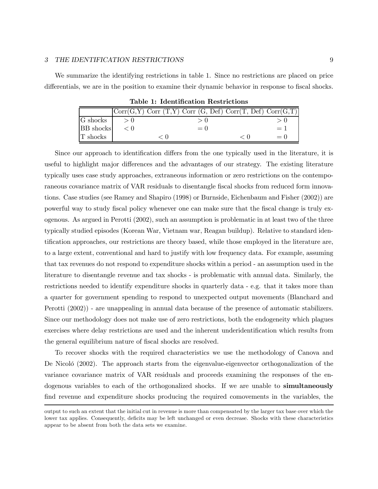We summarize the identifying restrictions in table 1. Since no restrictions are placed on price differentials, we are in the position to examine their dynamic behavior in response to fiscal shocks.

|           |  |  |       | $\lbrack \text{Corr}(G,Y) \text{ Corr } (T,Y) \text{ Corr } (G, \text{Def}) \text{Corr}(T, \text{Def}) \text{Corr}(G,T) \rbrack$ |       |  |  |
|-----------|--|--|-------|----------------------------------------------------------------------------------------------------------------------------------|-------|--|--|
| G shocks  |  |  |       |                                                                                                                                  |       |  |  |
| BB shocks |  |  | $= 0$ |                                                                                                                                  | $=1$  |  |  |
| T shocks  |  |  |       | $\langle$ 11                                                                                                                     | $= 0$ |  |  |

Table 1: Identification Restrictions

Since our approach to identification differs from the one typically used in the literature, it is useful to highlight major differences and the advantages of our strategy. The existing literature typically uses case study approaches, extraneous information or zero restrictions on the contemporaneous covariance matrix of VAR residuals to disentangle fiscal shocks from reduced form innovations. Case studies (see Ramey and Shapiro (1998) or Burnside, Eichenbaum and Fisher (2002)) are powerful way to study fiscal policy whenever one can make sure that the fiscal change is truly exogenous. As argued in Perotti (2002), such an assumption is problematic in at least two of the three typically studied episodes (Korean War, Vietnam war, Reagan buildup). Relative to standard identification approaches, our restrictions are theory based, while those employed in the literature are, to a large extent, conventional and hard to justify with low frequency data. For example, assuming that tax revenues do not respond to expenditure shocks within a period - an assumption used in the literature to disentangle revenue and tax shocks - is problematic with annual data. Similarly, the restrictions needed to identify expenditure shocks in quarterly data - e.g. that it takes more than a quarter for government spending to respond to unexpected output movements (Blanchard and Perotti (2002)) - are unappealing in annual data because of the presence of automatic stabilizers. Since our methodology does not make use of zero restrictions, both the endogeneity which plagues exercises where delay restrictions are used and the inherent underidentification which results from the general equilibrium nature of fiscal shocks are resolved.

To recover shocks with the required characteristics we use the methodology of Canova and De Nicoló (2002). The approach starts from the eigenvalue-eigenvector orthogonalization of the variance covariance matrix of VAR residuals and proceeds examining the responses of the endogenous variables to each of the orthogonalized shocks. If we are unable to **simultaneously** find revenue and expenditure shocks producing the required comovements in the variables, the

output to such an extent that the initial cut in revenue is more than compensated by the larger tax base over which the lower tax applies. Consequently, deficits may be left unchanged or even decrease. Shocks with these characteristics appear to be absent from both the data sets we examine.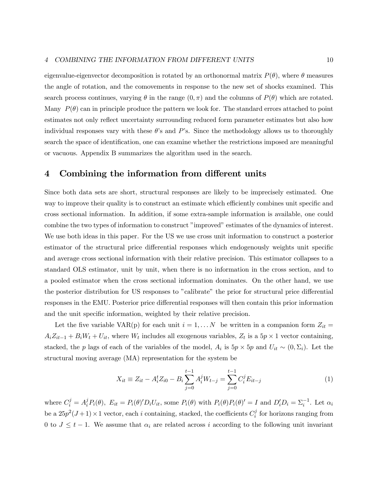eigenvalue-eigenvector decomposition is rotated by an orthonormal matrix  $P(\theta)$ , where  $\theta$  measures the angle of rotation, and the comovements in response to the new set of shocks examined. This search process continues, varying  $\theta$  in the range  $(0, \pi)$  and the columns of  $P(\theta)$  which are rotated. Many  $P(\theta)$  can in principle produce the pattern we look for. The standard errors attached to point estimates not only reflect uncertainty surrounding reduced form parameter estimates but also how individual responses vary with these  $\theta$ 's and P's. Since the methodology allows us to thoroughly search the space of identification, one can examine whether the restrictions imposed are meaningful or vacuous. Appendix B summarizes the algorithm used in the search.

# 4 Combining the information from different units

Since both data sets are short, structural responses are likely to be imprecisely estimated. One way to improve their quality is to construct an estimate which efficiently combines unit specific and cross sectional information. In addition, if some extra-sample information is available, one could combine the two types of information to construct "improved" estimates of the dynamics of interest. We use both ideas in this paper. For the US we use cross unit information to construct a posterior estimator of the structural price differential responses which endogenously weights unit specific and average cross sectional information with their relative precision. This estimator collapses to a standard OLS estimator, unit by unit, when there is no information in the cross section, and to a pooled estimator when the cross sectional information dominates. On the other hand, we use the posterior distribution for US responses to "calibrate" the prior for structural price differential responses in the EMU. Posterior price differential responses will then contain this prior information and the unit specific information, weighted by their relative precision.

Let the five variable VAR(p) for each unit  $i = 1, \ldots N$  be written in a companion form  $Z_{it} =$  $A_iZ_{it-1} + B_iW_t + U_{it}$ , where  $W_t$  includes all exogenous variables,  $Z_t$  is a  $5p \times 1$  vector containing, stacked, the p lags of each of the variables of the model,  $A_i$  is  $5p \times 5p$  and  $U_{it} \sim (0, \Sigma_i)$ . Let the structural moving average (MA) representation for the system be

$$
X_{it} \equiv Z_{it} - A_i^t Z_{i0} - B_i \sum_{j=0}^{t-1} A_i^j W_{t-j} = \sum_{j=0}^{t-1} C_i^j E_{it-j}
$$
 (1)

where  $C_i^j = A_i^j P_i(\theta)$ ,  $E_{it} = P_i(\theta)' D_i U_{it}$ , some  $P_i(\theta)$  with  $P_i(\theta) P_i(\theta)' = I$  and  $D_i' D_i = \sum_i^{-1}$ . Let  $\alpha_i$ be a  $25p^2(J+1) \times 1$  vector, each i containing, stacked, the coefficients  $C_i^j$  for horizons ranging from 0 to  $J \leq t-1$ . We assume that  $\alpha_i$  are related across i according to the following unit invariant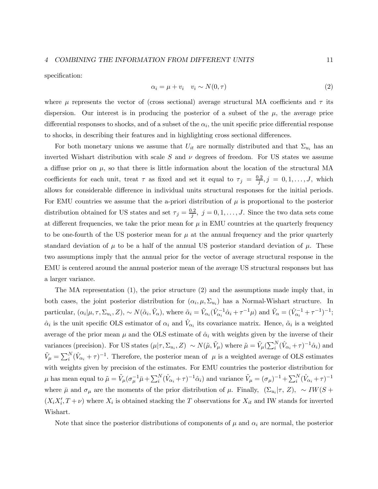### 4 COMBINING THE INFORMATION FROM DIFFERENT UNITS 11

specification:

$$
\alpha_i = \mu + v_i \quad v_i \sim N(0, \tau) \tag{2}
$$

where  $\mu$  represents the vector of (cross sectional) average structural MA coefficients and  $\tau$  its dispersion. Our interest is in producing the posterior of a subset of the  $\mu$ , the average price differential responses to shocks, and of a subset of the  $\alpha_i$ , the unit specific price differential response to shocks, in describing their features and in highlighting cross sectional differences.

For both monetary unions we assume that  $U_{it}$  are normally distributed and that  $\Sigma_{u_i}$  has an inverted Wishart distribution with scale  $S$  and  $\nu$  degrees of freedom. For US states we assume a diffuse prior on  $\mu$ , so that there is little information about the location of the structural MA coefficients for each unit, treat  $\tau$  as fixed and set it equal to  $\tau_j = \frac{0.2}{j}$ ,  $j = 0, 1, \ldots, J$ , which allows for considerable difference in individual units structural responses for the initial periods. For EMU countries we assume that the a-priori distribution of  $\mu$  is proportional to the posterior distribution obtained for US states and set  $\tau_j = \frac{0.2}{j}$ ,  $j = 0, 1, \ldots, J$ . Since the two data sets come at different frequencies, we take the prior mean for  $\mu$  in EMU countries at the quarterly frequency to be one-fourth of the US posterior mean for  $\mu$  at the annual frequency and the prior quarterly standard deviation of  $\mu$  to be a half of the annual US posterior standard deviation of  $\mu$ . These two assumptions imply that the annual prior for the vector of average structural response in the EMU is centered around the annual posterior mean of the average US structural responses but has a larger variance.

The MA representation (1), the prior structure (2) and the assumptions made imply that, in both cases, the joint posterior distribution for  $(\alpha_i, \mu, \Sigma_{u_i})$  has a Normal-Wishart structure. In particular,  $(\alpha_i | \mu, \tau, \Sigma_{u_i}, Z)$ , ~  $N(\tilde{\alpha}_i, \tilde{V}_{\alpha})$ , where  $\tilde{\alpha}_i = \tilde{V}_{\alpha_i}(\hat{V}_{\alpha_i}^{-1}\hat{\alpha}_i + \tau^{-1}\mu)$  and  $\tilde{V}_{\alpha} = (\hat{V}_{\alpha_i}^{-1} + \tau^{-1})^{-1}$ ;  $\hat{\alpha}_i$  is the unit specific OLS estimator of  $\alpha_i$  and  $V_{\alpha_i}$  its covariance matrix. Hence,  $\tilde{\alpha}_i$  is a weighted average of the prior mean  $\mu$  and the OLS estimate of  $\hat{\alpha}_i$  with weights given by the inverse of their variances (precision). For US states  $(\mu | \tau, \Sigma_{u_i}, Z) \sim N(\tilde{\mu}, \tilde{V}_{\mu})$  where  $\tilde{\mu} = \tilde{V}_{\mu} (\sum_{i}^{N} (\tilde{V}_{\alpha_i} + \tau)^{-1} \hat{\alpha}_i)$  and  $\tilde{V}_{\mu} = \sum_{i}^{N} (\hat{V}_{\alpha_i} + \tau)^{-1}$ . Therefore, the posterior mean of  $\mu$  is a weighted average of OLS estimates with weights given by precision of the estimates. For EMU countries the posterior distribution for  $\mu$  has mean equal to  $\tilde{\mu} = \tilde{V}_{\mu} (\sigma_{\mu}^{-1} \bar{\mu} + \sum_{i}^{N} (\hat{V}_{\alpha_i} + \tau)^{-1} \hat{\alpha}_i)$  and variance  $\tilde{V}_{\mu} = (\sigma_{\mu})^{-1} + \sum_{i}^{N} (\hat{V}_{\alpha_i} + \tau)^{-1}$ where  $\bar{\mu}$  and  $\sigma_{\mu}$  are the moments of the prior distribution of  $\mu$ . Finally,  $(\Sigma_{u_i} | \tau, Z)$ , ~ IW(S +  $(X_i X'_i, T + \nu)$  where  $X_i$  is obtained stacking the T observations for  $X_{it}$  and IW stands for inverted Wishart.

Note that since the posterior distributions of components of  $\mu$  and  $\alpha_i$  are normal, the posterior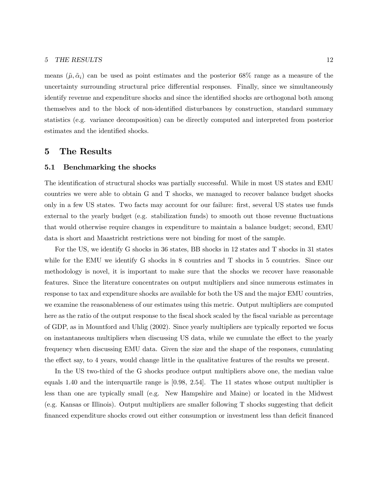means  $(\tilde{\mu}, \tilde{\alpha}_i)$  can be used as point estimates and the posterior 68% range as a measure of the uncertainty surrounding structural price differential responses. Finally, since we simultaneously identify revenue and expenditure shocks and since the identified shocks are orthogonal both among themselves and to the block of non-identified disturbances by construction, standard summary statistics (e.g. variance decomposition) can be directly computed and interpreted from posterior estimates and the identified shocks.

# 5 The Results

### 5.1 Benchmarking the shocks

The identification of structural shocks was partially successful. While in most US states and EMU countries we were able to obtain G and T shocks, we managed to recover balance budget shocks only in a few US states. Two facts may account for our failure: first, several US states use funds external to the yearly budget (e.g. stabilization funds) to smooth out those revenue fluctuations that would otherwise require changes in expenditure to maintain a balance budget; second, EMU data is short and Maastricht restrictions were not binding for most of the sample.

For the US, we identify G shocks in 36 states, BB shocks in 12 states and T shocks in 31 states while for the EMU we identify G shocks in 8 countries and T shocks in 5 countries. Since our methodology is novel, it is important to make sure that the shocks we recover have reasonable features. Since the literature concentrates on output multipliers and since numerous estimates in response to tax and expenditure shocks are available for both the US and the major EMU countries, we examine the reasonableness of our estimates using this metric. Output multipliers are computed here as the ratio of the output response to the fiscal shock scaled by the fiscal variable as percentage of GDP, as in Mountford and Uhlig (2002). Since yearly multipliers are typically reported we focus on instantaneous multipliers when discussing US data, while we cumulate the effect to the yearly frequency when discussing EMU data. Given the size and the shape of the responses, cumulating the effect say, to 4 years, would change little in the qualitative features of the results we present.

In the US two-third of the G shocks produce output multipliers above one, the median value equals 1.40 and the interquartile range is [0.98, 2.54]. The 11 states whose output multiplier is less than one are typically small (e.g. New Hampshire and Maine) or located in the Midwest (e.g. Kansas or Illinois). Output multipliers are smaller following T shocks suggesting that deficit financed expenditure shocks crowd out either consumption or investment less than deficit financed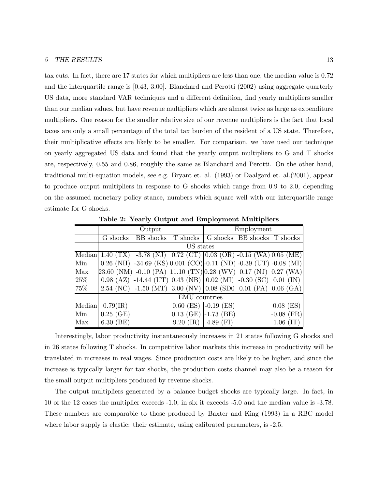tax cuts. In fact, there are 17 states for which multipliers are less than one; the median value is 0.72 and the interquartile range is [0.43, 3.00]. Blanchard and Perotti (2002) using aggregate quarterly US data, more standard VAR techniques and a different definition, find yearly multipliers smaller than our median values, but have revenue multipliers which are almost twice as large as expenditure multipliers. One reason for the smaller relative size of our revenue multipliers is the fact that local taxes are only a small percentage of the total tax burden of the resident of a US state. Therefore, their multiplicative effects are likely to be smaller. For comparison, we have used our technique on yearly aggregated US data and found that the yearly output multipliers to G and T shocks are, respectively, 0.55 and 0.86, roughly the same as Blanchard and Perotti. On the other hand, traditional multi-equation models, see e.g. Bryant et. al. (1993) or Daalgard et. al.(2001), appear to produce output multipliers in response to G shocks which range from 0.9 to 2.0, depending on the assumed monetary policy stance, numbers which square well with our interquartile range estimate for G shocks.

|        | Output               |                                                                          |                    | Employment                |                             |              |
|--------|----------------------|--------------------------------------------------------------------------|--------------------|---------------------------|-----------------------------|--------------|
|        | G shocks             |                                                                          | BB shocks T shocks |                           | G shocks BB shocks T shocks |              |
|        |                      |                                                                          | US states          |                           |                             |              |
|        |                      | Median 1.40 (TX) -3.78 (NJ) 0.72 (CT) 0.03 (OR) -0.15 (WA) 0.05 (ME)     |                    |                           |                             |              |
| Min    |                      | 0.26 (NH) -34.69 (KS) 0.001 (CO) -0.11 (ND) -0.39 (UT) -0.08 (MI)        |                    |                           |                             |              |
| Max    |                      | $[23.60 \,(NM)$ -0.10 (PA) 11.10 (TN) $[0.28 \,(WV)$ 0.17 (NJ) 0.27 (WA) |                    |                           |                             |              |
| $25\%$ |                      | $0.98$ (AZ) -14.44 (UT) 0.43 (NB) 0.02 (MI) -0.30 (SC) 0.01 (IN)         |                    |                           |                             |              |
| 75%    |                      | 2.54 (NC) -1.50 (MT) 3.00 (NV) 0.08 (SD0 0.01 (PA) 0.06 (GA)             |                    |                           |                             |              |
|        | <b>EMU</b> countries |                                                                          |                    |                           |                             |              |
| Median | $0.79$ (IR)          |                                                                          |                    | $0.60$ (ES) $ -0.19$ (ES) |                             | $0.08$ (ES)  |
| Min    | $0.25$ (GE)          |                                                                          |                    | $0.13$ (GE) $-1.73$ (BE)  |                             | $-0.08$ (FR) |
| Max    | $6.30$ (BE)          |                                                                          | $9.20$ (IR)        | 4.89 $(FI)$               |                             | $1.06$ (IT)  |

Table 2: Yearly Output and Employment Multipliers

Interestingly, labor productivity instantaneously increases in 21 states following G shocks and in 26 states following T shocks. In competitive labor markets this increase in productivity will be translated in increases in real wages. Since production costs are likely to be higher, and since the increase is typically larger for tax shocks, the production costs channel may also be a reason for the small output multipliers produced by revenue shocks.

The output multipliers generated by a balance budget shocks are typically large. In fact, in 10 of the 12 cases the multiplier exceeds -1.0, in six it exceeds -5.0 and the median value is -3.78. These numbers are comparable to those produced by Baxter and King (1993) in a RBC model where labor supply is elastic: their estimate, using calibrated parameters, is -2.5.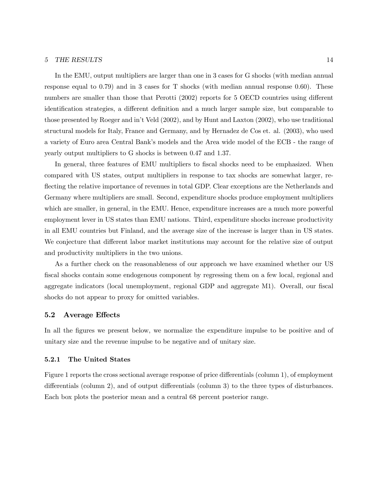In the EMU, output multipliers are larger than one in 3 cases for G shocks (with median annual response equal to 0.79) and in 3 cases for T shocks (with median annual response 0.60). These numbers are smaller than those that Perotti (2002) reports for 5 OECD countries using different identification strategies, a different definition and a much larger sample size, but comparable to those presented by Roeger and in't Veld (2002), and by Hunt and Laxton (2002), who use traditional structural models for Italy, France and Germany, and by Hernadez de Cos et. al. (2003), who used a variety of Euro area Central Bank's models and the Area wide model of the ECB - the range of yearly output multipliers to G shocks is between 0.47 and 1.37.

In general, three features of EMU multipliers to fiscal shocks need to be emphasized. When compared with US states, output multipliers in response to tax shocks are somewhat larger, reflecting the relative importance of revenues in total GDP. Clear exceptions are the Netherlands and Germany where multipliers are small. Second, expenditure shocks produce employment multipliers which are smaller, in general, in the EMU. Hence, expenditure increases are a much more powerful employment lever in US states than EMU nations. Third, expenditure shocks increase productivity in all EMU countries but Finland, and the average size of the increase is larger than in US states. We conjecture that different labor market institutions may account for the relative size of output and productivity multipliers in the two unions.

As a further check on the reasonableness of our approach we have examined whether our US fiscal shocks contain some endogenous component by regressing them on a few local, regional and aggregate indicators (local unemployment, regional GDP and aggregate M1). Overall, our fiscal shocks do not appear to proxy for omitted variables.

### 5.2 Average Effects

In all the figures we present below, we normalize the expenditure impulse to be positive and of unitary size and the revenue impulse to be negative and of unitary size.

### 5.2.1 The United States

Figure 1 reports the cross sectional average response of price differentials (column 1), of employment differentials (column 2), and of output differentials (column 3) to the three types of disturbances. Each box plots the posterior mean and a central 68 percent posterior range.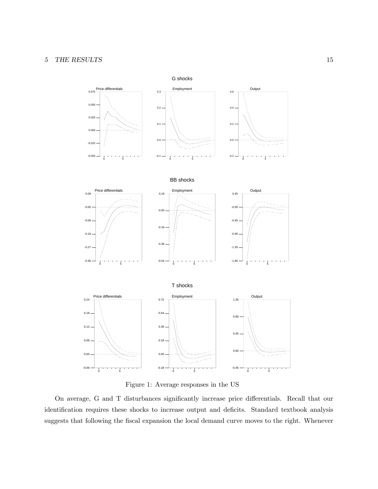

Figure 1: Average responses in the US

On average, G and T disturbances significantly increase price differentials. Recall that our identification requires these shocks to increase output and deficits. Standard textbook analysis suggests that following the fiscal expansion the local demand curve moves to the right. Whenever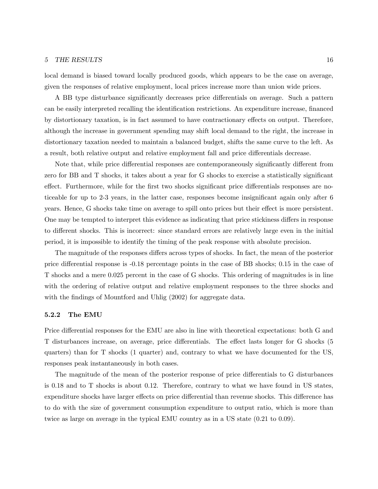local demand is biased toward locally produced goods, which appears to be the case on average, given the responses of relative employment, local prices increase more than union wide prices.

A BB type disturbance significantly decreases price differentials on average. Such a pattern can be easily interpreted recalling the identification restrictions. An expenditure increase, financed by distortionary taxation, is in fact assumed to have contractionary effects on output. Therefore, although the increase in government spending may shift local demand to the right, the increase in distortionary taxation needed to maintain a balanced budget, shifts the same curve to the left. As a result, both relative output and relative employment fall and price differentials decrease.

Note that, while price differential responses are contemporaneously significantly different from zero for BB and T shocks, it takes about a year for G shocks to exercise a statistically significant effect. Furthermore, while for the first two shocks significant price differentials responses are noticeable for up to 2-3 years, in the latter case, responses become insignificant again only after 6 years. Hence, G shocks take time on average to spill onto prices but their effect is more persistent. One may be tempted to interpret this evidence as indicating that price stickiness differs in response to different shocks. This is incorrect: since standard errors are relatively large even in the initial period, it is impossible to identify the timing of the peak response with absolute precision.

The magnitude of the responses differs across types of shocks. In fact, the mean of the posterior price differential response is -0.18 percentage points in the case of BB shocks; 0.15 in the case of T shocks and a mere 0.025 percent in the case of G shocks. This ordering of magnitudes is in line with the ordering of relative output and relative employment responses to the three shocks and with the findings of Mountford and Uhlig  $(2002)$  for aggregate data.

### 5.2.2 The EMU

Price differential responses for the EMU are also in line with theoretical expectations: both G and T disturbances increase, on average, price differentials. The effect lasts longer for G shocks (5 quarters) than for T shocks (1 quarter) and, contrary to what we have documented for the US, responses peak instantaneously in both cases.

The magnitude of the mean of the posterior response of price differentials to G disturbances is 0.18 and to T shocks is about 0.12. Therefore, contrary to what we have found in US states, expenditure shocks have larger effects on price differential than revenue shocks. This difference has to do with the size of government consumption expenditure to output ratio, which is more than twice as large on average in the typical EMU country as in a US state (0.21 to 0.09).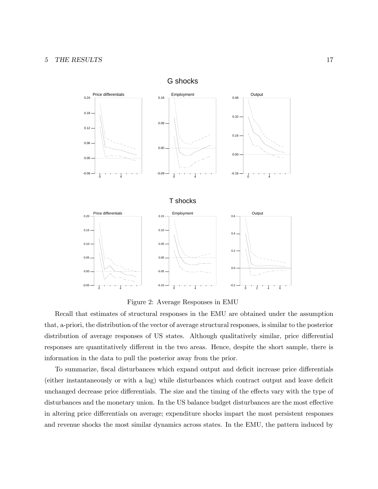

Figure 2: Average Responses in EMU

Recall that estimates of structural responses in the EMU are obtained under the assumption that, a-priori, the distribution of the vector of average structural responses, is similar to the posterior distribution of average responses of US states. Although qualitatively similar, price differential responses are quantitatively different in the two areas. Hence, despite the short sample, there is information in the data to pull the posterior away from the prior.

To summarize, fiscal disturbances which expand output and deficit increase price differentials (either instantaneously or with a lag) while disturbances which contract output and leave deficit unchanged decrease price differentials. The size and the timing of the effects vary with the type of disturbances and the monetary union. In the US balance budget disturbances are the most effective in altering price differentials on average; expenditure shocks impart the most persistent responses and revenue shocks the most similar dynamics across states. In the EMU, the pattern induced by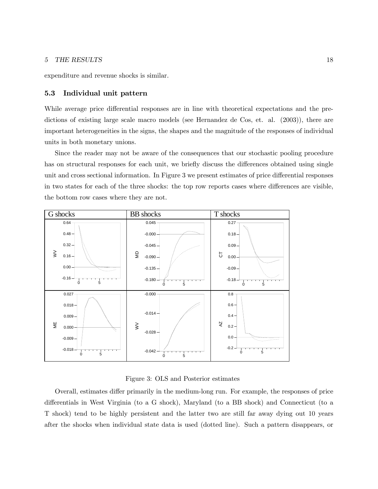expenditure and revenue shocks is similar.

### 5.3 Individual unit pattern

While average price differential responses are in line with theoretical expectations and the predictions of existing large scale macro models (see Hernandez de Cos, et. al.  $(2003)$ ), there are important heterogeneities in the signs, the shapes and the magnitude of the responses of individual units in both monetary unions.

Since the reader may not be aware of the consequences that our stochastic pooling procedure has on structural responses for each unit, we briefly discuss the differences obtained using single unit and cross sectional information. In Figure 3 we present estimates of price differential responses in two states for each of the three shocks: the top row reports cases where differences are visible, the bottom row cases where they are not.



Figure 3: OLS and Posterior estimates

Overall, estimates differ primarily in the medium-long run. For example, the responses of price differentials in West Virginia (to a G shock), Maryland (to a BB shock) and Connecticut (to a T shock) tend to be highly persistent and the latter two are still far away dying out 10 years after the shocks when individual state data is used (dotted line). Such a pattern disappears, or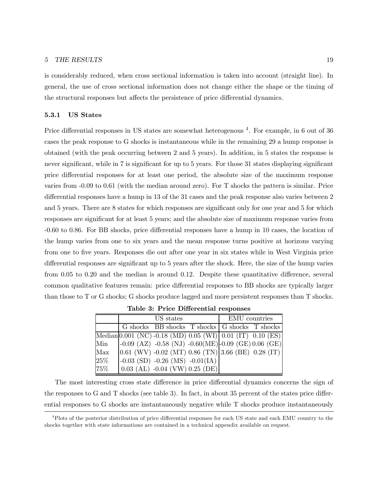is considerably reduced, when cross sectional information is taken into account (straight line). In general, the use of cross sectional information does not change either the shape or the timing of the structural responses but affects the persistence of price differential dynamics.

### 5.3.1 US States

Price differential responses in US states are somewhat heterogenous <sup>4</sup>. For example, in 6 out of 36 cases the peak response to G shocks is instantaneous while in the remaining 29 a hump response is obtained (with the peak occurring between 2 and 5 years). In addition, in 5 states the response is never significant, while in 7 is significant for up to 5 years. For those 31 states displaying significant price differential responses for at least one period, the absolute size of the maximum response varies from -0.09 to 0.61 (with the median around zero). For T shocks the pattern is similar. Price differential responses have a hump in 13 of the 31 cases and the peak response also varies between 2 and 5 years. There are 8 states for which responses are significant only for one year and 5 for which responses are significant for at least 5 years; and the absolute size of maximum response varies from -0.60 to 0.86. For BB shocks, price differential responses have a hump in 10 cases, the location of the hump varies from one to six years and the mean response turns positive at horizons varying from one to five years. Responses die out after one year in six states while in West Virginia price differential responses are significant up to 5 years after the shock. Here, the size of the hump varies from 0.05 to 0.20 and the median is around 0.12. Despite these quantitative difference, several common qualitative features remain: price differential responses to BB shocks are typically larger than those to T or G shocks; G shocks produce lagged and more persistent responses than T shocks.

|      | US states                                                                                       | <b>EMU</b> countries |  |  |
|------|-------------------------------------------------------------------------------------------------|----------------------|--|--|
|      | G shocks BB shocks T shocks G shocks T shocks                                                   |                      |  |  |
|      | Median [0.001 (NC) -0.18 (MD) 0.05 (WI) $\vert$ 0.01 (IT) 0.10 (ES) $\vert$                     |                      |  |  |
| Min  | $-0.09$ (AZ) $-0.58$ (NJ) $-0.60$ (ME) $-0.09$ (GE) $0.06$ (GE)                                 |                      |  |  |
| Max  | $ 0.61 \text{ (WV)} - 0.02 \text{ (MT)} 0.86 \text{ (TN)} 3.66 \text{ (BE)} 0.28 \text{ (IT)} $ |                      |  |  |
| 25\% | $-0.03$ (SD) $-0.26$ (MS) $-0.01$ (IA)                                                          |                      |  |  |
| 75%  | $0.03$ (AL) $-0.04$ (VW) $0.25$ (DE)                                                            |                      |  |  |

Table 3: Price Differential responses

The most interesting cross state difference in price differential dynamics concerns the sign of the responses to G and T shocks (see table 3). In fact, in about 35 percent of the states price differential responses to G shocks are instantaneously negative while T shocks produce instantaneously

<sup>4</sup>Plots of the posterior distribution of price differential responses for each US state and each EMU country to the shocks together with state informations are contained in a technical appendix available on request.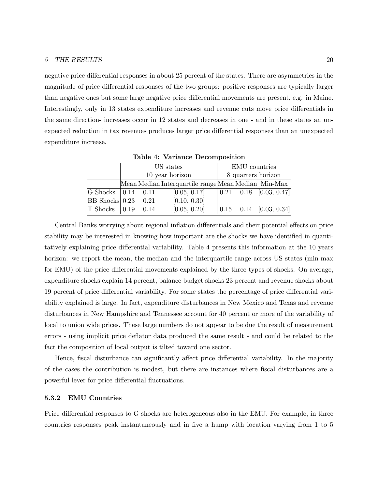negative price differential responses in about 25 percent of the states. There are asymmetries in the magnitude of price differential responses of the two groups: positive responses are typically larger than negative ones but some large negative price differential movements are present, e.g. in Maine. Interestingly, only in 13 states expenditure increases and revenue cuts move price differentials in the same direction- increases occur in 12 states and decreases in one - and in these states an unexpected reduction in tax revenues produces larger price differential responses than an unexpected expenditure increase.

|                                               | US states       |      |                                                     | <b>EMU</b> countries |  |                                                            |
|-----------------------------------------------|-----------------|------|-----------------------------------------------------|----------------------|--|------------------------------------------------------------|
|                                               | 10 year horizon |      |                                                     |                      |  | 8 quarters horizon                                         |
|                                               |                 |      | Mean Median Interquartile range Mean Median Min-Max |                      |  |                                                            |
| $\boxed{\text{G}$ Shocks $\boxed{0.14}$ 0.11  |                 |      | [0.05, 0.17]                                        |                      |  | $\begin{bmatrix} 0.21 & 0.18 & [0.03, 0.47] \end{bmatrix}$ |
| BB Shocks 0.23                                |                 | 0.21 | [0.10, 0.30]                                        |                      |  |                                                            |
| $\Gamma$ Shocks $\vert 0.19 \quad 0.14 \vert$ |                 |      | [0.05, 0.20]                                        |                      |  | $\begin{bmatrix} 0.15 & 0.14 & [0.03, 0.34] \end{bmatrix}$ |

Table 4: Variance Decomposition

Central Banks worrying about regional inflation differentials and their potential effects on price stability may be interested in knowing how important are the shocks we have identified in quantitatively explaining price differential variability. Table 4 presents this information at the 10 years horizon: we report the mean, the median and the interquartile range across US states (min-max) for EMU) of the price differential movements explained by the three types of shocks. On average, expenditure shocks explain 14 percent, balance budget shocks 23 percent and revenue shocks about 19 percent of price differential variability. For some states the percentage of price differential variability explained is large. In fact, expenditure disturbances in New Mexico and Texas and revenue disturbances in New Hampshire and Tennessee account for 40 percent or more of the variability of local to union wide prices. These large numbers do not appear to be due the result of measurement errors - using implicit price deflator data produced the same result - and could be related to the fact the composition of local output is tilted toward one sector.

Hence, fiscal disturbance can significantly affect price differential variability. In the majority of the cases the contribution is modest, but there are instances where fiscal disturbances are a powerful lever for price differential fluctuations.

### 5.3.2 EMU Countries

Price differential responses to G shocks are heterogeneous also in the EMU. For example, in three countries responses peak instantaneously and in five a hump with location varying from 1 to 5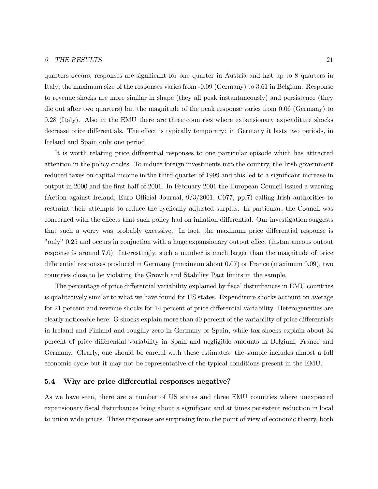quarters occurs; responses are significant for one quarter in Austria and last up to 8 quarters in Italy; the maximum size of the responses varies from -0.09 (Germany) to 3.61 in Belgium. Response to revenue shocks are more similar in shape (they all peak instantaneously) and persistence (they die out after two quarters) but the magnitude of the peak response varies from 0.06 (Germany) to 0.28 (Italy). Also in the EMU there are three countries where expansionary expenditure shocks decrease price differentials. The effect is typically temporary: in Germany it lasts two periods, in Ireland and Spain only one period.

It is worth relating price differential responses to one particular episode which has attracted attention in the policy circles. To induce foreign investments into the country, the Irish government reduced taxes on capital income in the third quarter of 1999 and this led to a significant increase in output in 2000 and the first half of 2001. In February 2001 the European Council issued a warning (Action against Ireland, Euro Official Journal, 9/3/2001, C077, pp.7) calling Irish authorities to restraint their attempts to reduce the cyclically adjusted surplus. In particular, the Council was concerned with the effects that such policy had on inflation differential. Our investigation suggests that such a worry was probably excessive. In fact, the maximum price differential response is "only" 0.25 and occurs in conjuction with a huge expansionary output effect (instantaneous output response is around 7.0). Interestingly, such a number is much larger than the magnitude of price differential responses produced in Germany (maximum about 0.07) or France (maximum 0.09), two countries close to be violating the Growth and Stability Pact limits in the sample.

The percentage of price differential variability explained by fiscal disturbances in EMU countries is qualitatively similar to what we have found for US states. Expenditure shocks account on average for 21 percent and revenue shocks for 14 percent of price differential variability. Heterogeneities are clearly noticeable here: G shocks explain more than 40 percent of the variability of price differentials in Ireland and Finland and roughly zero in Germany or Spain, while tax shocks explain about 34 percent of price differential variability in Spain and negligible amounts in Belgium, France and Germany. Clearly, one should be careful with these estimates: the sample includes almost a full economic cycle but it may not be representative of the typical conditions present in the EMU.

### 5.4 Why are price differential responses negative?

As we have seen, there are a number of US states and three EMU countries where unexpected expansionary fiscal disturbances bring about a significant and at times persistent reduction in local to union wide prices. These responses are surprising from the point of view of economic theory, both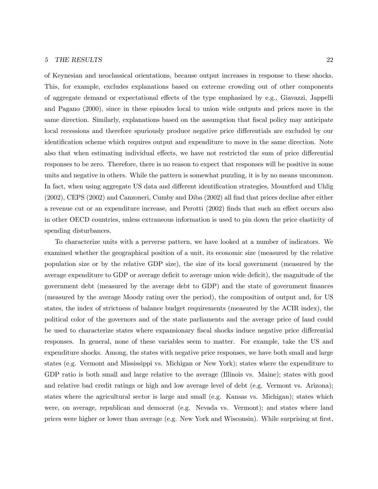of Keynesian and neoclassical orientations, because output increases in response to these shocks. This, for example, excludes explanations based on extreme crowding out of other components of aggregate demand or expectational effects of the type emphasized by e.g., Giavazzi, Jappelli and Pagano (2000), since in these episodes local to union wide outputs and prices move in the same direction. Similarly, explanations based on the assumption that fiscal policy may anticipate local recessions and therefore spuriously produce negative price differentials are excluded by our identification scheme which requires output and expenditure to move in the same direction. Note also that when estimating individual effects, we have not restricted the sum of price differential responses to be zero. Therefore, there is no reason to expect that responses will be positive in some units and negative in others. While the pattern is somewhat puzzling, it is by no means uncommon. In fact, when using aggregate US data and different identification strategies, Mountford and Uhlig (2002), CEPS (2002) and Canzoneri, Cumby and Diba (2002) all find that prices decline after either a revenue cut or an expenditure increase, and Perotti (2002) finds that such an effect occurs also in other OECD countries, unless extraneous information is used to pin down the price elasticity of spending disturbances.

To characterize units with a perverse pattern, we have looked at a number of indicators. We examined whether the geographical position of a unit, its economic size (measured by the relative population size or by the relative GDP size), the size of its local government (measured by the average expenditure to GDP or average deficit to average union wide deficit), the magnitude of the government debt (measured by the average debt to GDP) and the state of government finances (measured by the average Moody rating over the period), the composition of output and, for US states, the index of strictness of balance budget requirements (measured by the ACIR index), the political color of the governors and of the state parliaments and the average price of land could be used to characterize states where expansionary fiscal shocks induce negative price differential responses. In general, none of these variables seem to matter. For example, take the US and expenditure shocks. Among, the states with negative price responses, we have both small and large states (e.g. Vermont and Mississippi vs. Michigan or New York); states where the expenditure to GDP ratio is both small and large relative to the average (Illinois vs. Maine); states with good and relative bad credit ratings or high and low average level of debt (e.g. Vermont vs. Arizona); states where the agricultural sector is large and small (e.g. Kansas vs. Michigan); states which were, on average, republican and democrat (e.g. Nevada vs. Vermont); and states where land prices were higher or lower than average (e.g. New York and Wisconsin). While surprising at first,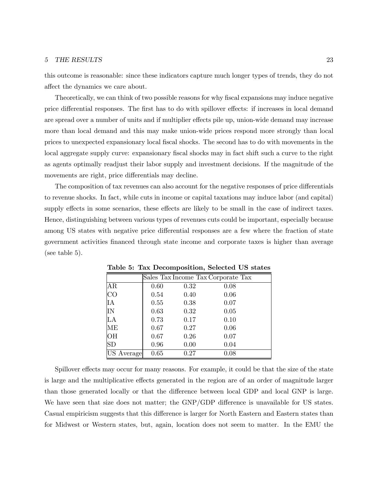this outcome is reasonable: since these indicators capture much longer types of trends, they do not affect the dynamics we care about.

Theoretically, we can think of two possible reasons for why fiscal expansions may induce negative price differential responses. The first has to do with spillover effects: if increases in local demand are spread over a number of units and if multiplier effects pile up, union-wide demand may increase more than local demand and this may make union-wide prices respond more strongly than local prices to unexpected expansionary local fiscal shocks. The second has to do with movements in the local aggregate supply curve: expansionary fiscal shocks may in fact shift such a curve to the right as agents optimally readjust their labor supply and investment decisions. If the magnitude of the movements are right, price differentials may decline.

The composition of tax revenues can also account for the negative responses of price differentials to revenue shocks. In fact, while cuts in income or capital taxations may induce labor (and capital) supply effects in some scenarios, these effects are likely to be small in the case of indirect taxes. Hence, distinguishing between various types of revenues cuts could be important, especially because among US states with negative price differential responses are a few where the fraction of state government activities financed through state income and corporate taxes is higher than average (see table 5).

| Sales Tax Income Tax Corporate Tax |      |      |      |  |  |
|------------------------------------|------|------|------|--|--|
| AR                                 | 0.60 | 0.32 | 0.08 |  |  |
| CO                                 | 0.54 | 0.40 | 0.06 |  |  |
| IA                                 | 0.55 | 0.38 | 0.07 |  |  |
| İΙN                                | 0.63 | 0.32 | 0.05 |  |  |
| LA                                 | 0.73 | 0.17 | 0.10 |  |  |
| MЕ                                 | 0.67 | 0.27 | 0.06 |  |  |
| ЮH                                 | 0.67 | 0.26 | 0.07 |  |  |
| ΙSD                                | 0.96 | 0.00 | 0.04 |  |  |
| US Average                         | 0.65 | 0.27 | 0.08 |  |  |

Table 5: Tax Decomposition, Selected US states

Spillover effects may occur for many reasons. For example, it could be that the size of the state is large and the multiplicative effects generated in the region are of an order of magnitude larger than those generated locally or that the difference between local GDP and local GNP is large. We have seen that size does not matter; the GNP/GDP difference is unavailable for US states. Casual empiricism suggests that this difference is larger for North Eastern and Eastern states than for Midwest or Western states, but, again, location does not seem to matter. In the EMU the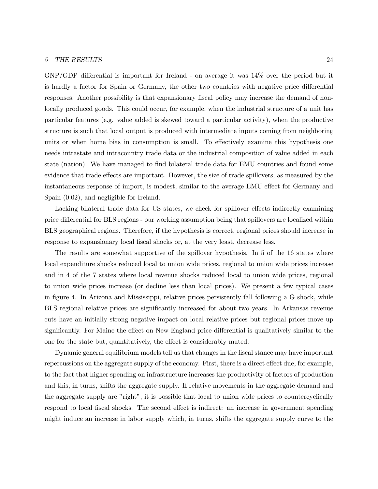GNP/GDP differential is important for Ireland - on average it was 14% over the period but it is hardly a factor for Spain or Germany, the other two countries with negative price differential responses. Another possibility is that expansionary fiscal policy may increase the demand of nonlocally produced goods. This could occur, for example, when the industrial structure of a unit has particular features (e.g. value added is skewed toward a particular activity), when the productive structure is such that local output is produced with intermediate inputs coming from neighboring units or when home bias in consumption is small. To effectively examine this hypothesis one needs intrastate and intracountry trade data or the industrial composition of value added in each state (nation). We have managed to find bilateral trade data for EMU countries and found some evidence that trade effects are important. However, the size of trade spillovers, as measured by the instantaneous response of import, is modest, similar to the average EMU effect for Germany and Spain (0.02), and negligible for Ireland.

Lacking bilateral trade data for US states, we check for spillover effects indirectly examining price differential for BLS regions - our working assumption being that spillovers are localized within BLS geographical regions. Therefore, if the hypothesis is correct, regional prices should increase in response to expansionary local fiscal shocks or, at the very least, decrease less.

The results are somewhat supportive of the spillover hypothesis. In 5 of the 16 states where local expenditure shocks reduced local to union wide prices, regional to union wide prices increase and in 4 of the 7 states where local revenue shocks reduced local to union wide prices, regional to union wide prices increase (or decline less than local prices). We present a few typical cases in figure 4. In Arizona and Mississippi, relative prices persistently fall following a G shock, while BLS regional relative prices are significantly increased for about two years. In Arkansas revenue cuts have an initially strong negative impact on local relative prices but regional prices move up significantly. For Maine the effect on New England price differential is qualitatively similar to the one for the state but, quantitatively, the effect is considerably muted.

Dynamic general equilibrium models tell us that changes in the fiscal stance may have important repercussions on the aggregate supply of the economy. First, there is a direct effect due, for example, to the fact that higher spending on infrastructure increases the productivity of factors of production and this, in turns, shifts the aggregate supply. If relative movements in the aggregate demand and the aggregate supply are "right", it is possible that local to union wide prices to countercyclically respond to local fiscal shocks. The second effect is indirect: an increase in government spending might induce an increase in labor supply which, in turns, shifts the aggregate supply curve to the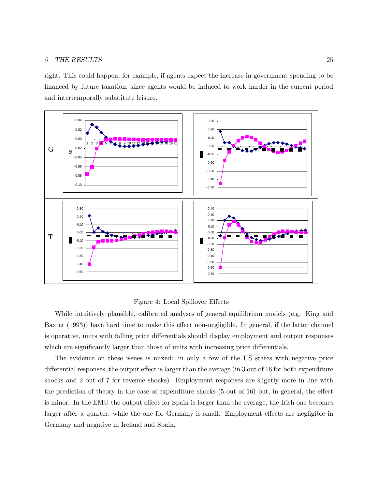right. This could happen, for example, if agents expect the increase in government spending to be financed by future taxation; since agents would be induced to work harder in the current period and intertemporally substitute leisure.





While intuitively plausible, calibrated analyses of general equilibrium models (e.g. King and Baxter (1993)) have hard time to make this effect non-negligible. In general, if the latter channel is operative, units with falling price differentials should display employment and output responses which are significantly larger than those of units with increasing price differentials.

The evidence on these issues is mixed: in only a few of the US states with negative price differential responses, the output effect is larger than the average (in 3 out of 16 for both expenditure shocks and 2 out of 7 for revenue shocks). Employment responses are slightly more in line with the prediction of theory in the case of expenditure shocks (5 out of 16) but, in general, the effect is minor. In the EMU the output effect for Spain is larger than the average, the Irish one becomes larger after a quarter, while the one for Germany is small. Employment effects are negligible in Germany and negative in Ireland and Spain.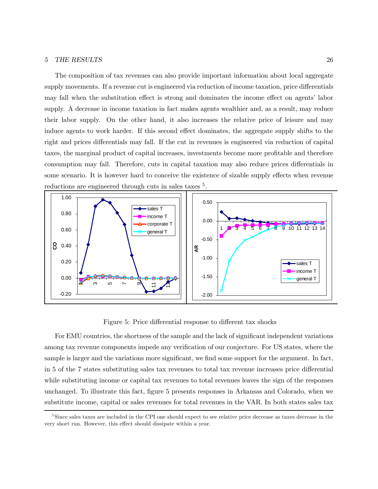The composition of tax revenues can also provide important information about local aggregate supply movements. If a revenue cut is engineered via reduction of income taxation, price differentials may fall when the substitution effect is strong and dominates the income effect on agents' labor supply. A decrease in income taxation in fact makes agents wealthier and, as a result, may reduce their labor supply. On the other hand, it also increases the relative price of leisure and may induce agents to work harder. If this second effect dominates, the aggregate supply shifts to the right and prices differentials may fall. If the cut in revenues is engineered via reduction of capital taxes, the marginal product of capital increases, investments become more profitable and therefore consumption may fall. Therefore, cuts in capital taxation may also reduce prices differentials in some scenario. It is however hard to conceive the existence of sizable supply effects when revenue reductions are engineered through cuts in sales taxes <sup>5</sup>.



Figure 5: Price differential response to different tax shocks

For EMU countries, the shortness of the sample and the lack of significant independent variations among tax revenue components impede any verification of our conjecture. For US states, where the sample is larger and the variations more significant, we find some support for the argument. In fact, in 5 of the 7 states substituting sales tax revenues to total tax revenue increases price differential while substituting income or capital tax revenues to total revenues leaves the sign of the responses unchanged. To illustrate this fact, figure 5 presents responses in Arkansas and Colorado, when we substitute income, capital or sales revenues for total revenues in the VAR. In both states sales tax

<sup>&</sup>lt;sup>5</sup>Since sales taxes are included in the CPI one should expect to see relative price decrease as taxes decrease in the very short run. However, this effect should dissipate within a year.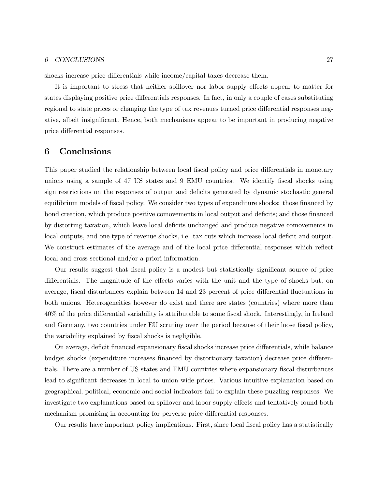shocks increase price differentials while income/capital taxes decrease them.

It is important to stress that neither spillover nor labor supply effects appear to matter for states displaying positive price differentials responses. In fact, in only a couple of cases substituting regional to state prices or changing the type of tax revenues turned price differential responses negative, albeit insignificant. Hence, both mechanisms appear to be important in producing negative price differential responses.

# 6 Conclusions

This paper studied the relationship between local fiscal policy and price differentials in monetary unions using a sample of 47 US states and 9 EMU countries. We identify fiscal shocks using sign restrictions on the responses of output and deficits generated by dynamic stochastic general equilibrium models of fiscal policy. We consider two types of expenditure shocks: those financed by bond creation, which produce positive comovements in local output and deficits; and those financed by distorting taxation, which leave local deficits unchanged and produce negative comovements in local outputs, and one type of revenue shocks, i.e. tax cuts which increase local deficit and output. We construct estimates of the average and of the local price differential responses which reflect local and cross sectional and/or a-priori information.

Our results suggest that fiscal policy is a modest but statistically significant source of price differentials. The magnitude of the effects varies with the unit and the type of shocks but, on average, fiscal disturbances explain between 14 and 23 percent of price differential fluctuations in both unions. Heterogeneities however do exist and there are states (countries) where more than 40% of the price differential variability is attributable to some fiscal shock. Interestingly, in Ireland and Germany, two countries under EU scrutiny over the period because of their loose fiscal policy, the variability explained by fiscal shocks is negligible.

On average, deficit financed expansionary fiscal shocks increase price differentials, while balance budget shocks (expenditure increases financed by distortionary taxation) decrease price differentials. There are a number of US states and EMU countries where expansionary fiscal disturbances lead to significant decreases in local to union wide prices. Various intuitive explanation based on geographical, political, economic and social indicators fail to explain these puzzling responses. We investigate two explanations based on spillover and labor supply effects and tentatively found both mechanism promising in accounting for perverse price differential responses.

Our results have important policy implications. First, since local fiscal policy has a statistically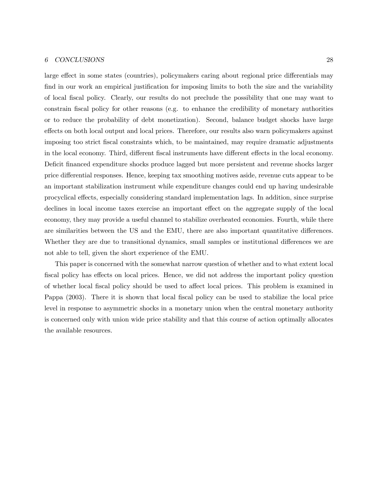large effect in some states (countries), policymakers caring about regional price differentials may find in our work an empirical justification for imposing limits to both the size and the variability of local fiscal policy. Clearly, our results do not preclude the possibility that one may want to constrain fiscal policy for other reasons (e.g. to enhance the credibility of monetary authorities or to reduce the probability of debt monetization). Second, balance budget shocks have large effects on both local output and local prices. Therefore, our results also warn policymakers against imposing too strict fiscal constraints which, to be maintained, may require dramatic adjustments in the local economy. Third, different fiscal instruments have different effects in the local economy. Deficit financed expenditure shocks produce lagged but more persistent and revenue shocks larger price differential responses. Hence, keeping tax smoothing motives aside, revenue cuts appear to be an important stabilization instrument while expenditure changes could end up having undesirable procyclical effects, especially considering standard implementation lags. In addition, since surprise declines in local income taxes exercise an important effect on the aggregate supply of the local economy, they may provide a useful channel to stabilize overheated economies. Fourth, while there are similarities between the US and the EMU, there are also important quantitative differences. Whether they are due to transitional dynamics, small samples or institutional differences we are not able to tell, given the short experience of the EMU.

This paper is concerned with the somewhat narrow question of whether and to what extent local fiscal policy has effects on local prices. Hence, we did not address the important policy question of whether local fiscal policy should be used to affect local prices. This problem is examined in Pappa (2003). There it is shown that local fiscal policy can be used to stabilize the local price level in response to asymmetric shocks in a monetary union when the central monetary authority is concerned only with union wide price stability and that this course of action optimally allocates the available resources.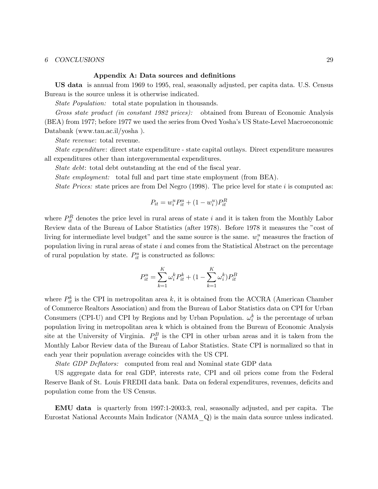### Appendix A: Data sources and definitions

US data is annual from 1969 to 1995, real, seasonally adjusted, per capita data. U.S. Census Bureau is the source unless it is otherwise indicated.

State Population: total state population in thousands.

Gross state product (in constant 1982 prices): obtained from Bureau of Economic Analysis (BEA) from 1977; before 1977 we used the series from Oved Yosha's US State-Level Macroeconomic Databank (www.tau.ac.il/yosha ).

State revenue: total revenue.

State expenditure: direct state expenditure - state capital outlays. Direct expenditure measures all expenditures other than intergovernmental expenditures.

State debt: total debt outstanding at the end of the fiscal year.

State employment: total full and part time state employment (from BEA).

State Prices: state prices are from Del Negro  $(1998)$ . The price level for state i is computed as:

$$
P_{it} = w_i^u P_{it}^u + (1 - w_i^u) P_{it}^R
$$

where  $P_{it}^R$  denotes the price level in rural areas of state i and it is taken from the Monthly Labor Review data of the Bureau of Labor Statistics (after 1978). Before 1978 it measures the "cost of living for intermediate level budget" and the same source is the same.  $w_i^u$  measures the fraction of population living in rural areas of state  $i$  and comes from the Statistical Abstract on the percentage of rural population by state.  $P_{it}^u$  is constructed as follows:

$$
P_{it}^{u} = \sum_{k=1}^{K} \omega_{i}^{k} P_{it}^{k} + (1 - \sum_{k=1}^{K} \omega_{i}^{k}) P_{it}^{B}
$$

where  $P_{it}^k$  is the CPI in metropolitan area k, it is obtained from the ACCRA (American Chamber of Commerce Realtors Association) and from the Bureau of Labor Statistics data on CPI for Urban Consumers (CPI-U) and CPI by Regions and by Urban Population.  $\omega_i^k$  is the percentage of urban population living in metropolitan area k which is obtained from the Bureau of Economic Analysis site at the University of Virginia.  $P_{it}^B$  is the CPI in other urban areas and it is taken from the Monthly Labor Review data of the Bureau of Labor Statistics. State CPI is normalized so that in each year their population average coincides with the US CPI.

State GDP Deflators: computed from real and Nominal state GDP data

US aggregate data for real GDP, interests rate, CPI and oil prices come from the Federal Reserve Bank of St. Louis FREDII data bank. Data on federal expenditures, revenues, deficits and population come from the US Census.

EMU data is quarterly from 1997:1-2003:3, real, seasonally adjusted, and per capita. The Eurostat National Accounts Main Indicator (NAMA\_Q) is the main data source unless indicated.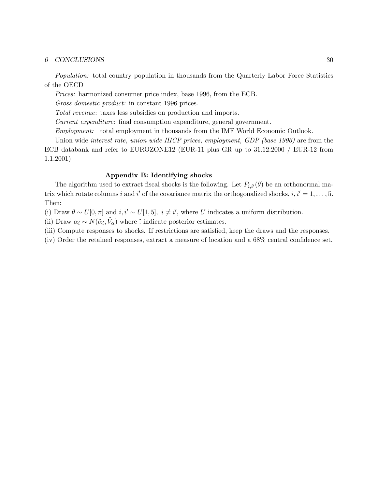Population: total country population in thousands from the Quarterly Labor Force Statistics of the OECD

Prices: harmonized consumer price index, base 1996, from the ECB.

Gross domestic product: in constant 1996 prices.

Total revenue: taxes less subsidies on production and imports.

Current expenditure: final consumption expenditure, general government.

Employment: total employment in thousands from the IMF World Economic Outlook.

Union wide *interest rate, union wide HICP prices, employment, GDP (base 1996)* are from the ECB databank and refer to EUROZONE12 (EUR-11 plus GR up to 31.12.2000 / EUR-12 from 1.1.2001)

### Appendix B: Identifying shocks

The algorithm used to extract fiscal shocks is the following. Let  $P_{i,i'}(\theta)$  be an orthonormal matrix which rotate columns i and i' of the covariance matrix the orthogonalized shocks,  $i, i' = 1, \ldots, 5$ . Then:

(i) Draw  $\theta \sim U[0, \pi]$  and  $i, i' \sim U[1, 5], i \neq i'$ , where U indicates a uniform distribution.

(ii) Draw  $\alpha_i \sim N(\tilde{\alpha}_i, \tilde{V}_{\alpha})$  where  $\tilde{\alpha}$  indicate posterior estimates.

(iii) Compute responses to shocks. If restrictions are satisfied, keep the draws and the responses.

(iv) Order the retained responses, extract a measure of location and a 68% central confidence set.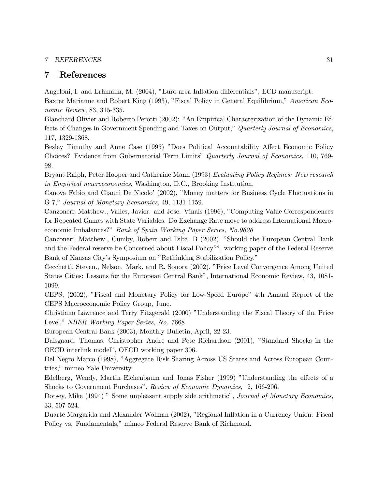## 7 REFERENCES 31

# 7 References

Angeloni, I. and Erhmann, M. (2004), "Euro area Inflation differentials", ECB manuscript.

Baxter Marianne and Robert King (1993), "Fiscal Policy in General Equilibrium," American Economic Review, 83, 315-335.

Blanchard Olivier and Roberto Perotti (2002): "An Empirical Characterization of the Dynamic Effects of Changes in Government Spending and Taxes on Output," Quarterly Journal of Economics, 117, 1329-1368.

Besley Timothy and Anne Case (1995) "Does Political Accountability Affect Economic Policy Choices? Evidence from Gubernatorial Term Limits" Quarterly Journal of Economics, 110, 769- 98.

Bryant Ralph, Peter Hooper and Catherine Mann (1993) Evaluating Policy Regimes: New research in Empirical macroeconomics, Washington, D.C., Brooking Institution.

Canova Fabio and Gianni De Nicolo' (2002), "Money matters for Business Cycle Fluctuations in G-7," Journal of Monetary Economics, 49, 1131-1159.

Canzoneri, Matthew., Valles, Javier. and Jose. Vinals (1996), "Computing Value Correspondences for Repeated Games with State Variables. Do Exchange Rate move to address International Macroeconomic Imbalances?" Bank of Spain Working Paper Series, No.9626

Canzoneri, Matthew., Cumby, Robert and Diba, B (2002), "Should the European Central Bank and the Federal reserve be Concerned about Fiscal Policy?", working paper of the Federal Reserve Bank of Kansas City's Symposium on "Rethinking Stabilization Policy."

Cecchetti, Steven., Nelson. Mark, and R. Sonora (2002), "Price Level Convergence Among United States Cities: Lessons for the European Central Bank", International Economic Review, 43, 1081- 1099.

CEPS, (2002), "Fiscal and Monetary Policy for Low-Speed Europe" 4th Annual Report of the CEPS Macroeconomic Policy Group, June.

Christiano Lawrence and Terry Fitzgerald (2000) "Understanding the Fiscal Theory of the Price Level," NBER Working Paper Series, No. 7668

European Central Bank (2003), Monthly Bulletin, April, 22-23.

Dalsgaard, Thomas, Christopher Andre and Pete Richardson (2001), "Standard Shocks in the OECD interlink model", OECD working paper 306.

Del Negro Marco (1998), "Aggregate Risk Sharing Across US States and Across European Countries," mimeo Yale University.

Edelberg, Wendy, Martin Eichenbaum and Jonas Fisher (1999) "Understanding the effects of a Shocks to Government Purchases", Review of Economic Dynamics, 2, 166-206.

Dotsey, Mike (1994) " Some unpleasant supply side arithmetic", *Journal of Monetary Economics*, 33, 507-524.

Duarte Margarida and Alexander Wolman (2002), "Regional Inflation in a Currency Union: Fiscal Policy vs. Fundamentals," mimeo Federal Reserve Bank of Richmond.